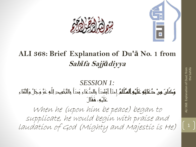



#### **ALI 368: Brief Explanation of Du'ā No. 1 from Sah***ī***fa Sajj***ā***diyya**

*SESSION 1:* وَكَانَ مِنْ دُعَائِهِ عَلَيْهِ السَّلَامُ إِذَا ابْتَدَأَ بِالدُّعَاءِ بَدَأَ بِالتَّحْمِيدِ لِلَّهِ عَزَّ وَجَلَّ وَالثَّنَاءِ عَلَيْه،ِ فَقَالَ

When he (upon him be peace) began to supplicate, he would begin with praise and laudation of God (Mighty and Majestic is He)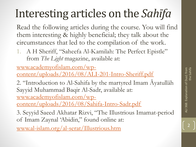# Interesting articles on the *Sahīfa*

Read the following articles during the course. You will find them interesting & highly beneficial; they talk about the circumstances that led to the compilation of the work.

1. A H Sheriff, "Saheefa Al-Kamilah: The Perfect Epistle" from *The Light* magazine, available at:

www.academyofislam.com/wp-

[content/uploads/2016/08/ALI-201-Intro-Sheriff.pdf](http://www.academyofislam.com/wp-content/uploads/2016/08/ALI-201-Intro-Sheriff.pdf)

2. "Introduction to Al-Sahifa by the martyred Imam Āyatullāh Sayyid Muhammad Baqir Al-Sadr, available at: www.academyofislam.com/wp-

[content/uploads/2016/08/Sahifa-Intro-Sadr.pdf](http://www.academyofislam.com/wp-content/uploads/2016/08/Sahifa-Intro-Sadr.pdf)

3. Seyyid Saeed Akhatar Rizvi, "The Illustrious Imamat-period of Imam Zaynal 'Abidin," found online at:

[www.al-islam.org/al-serat/Illustrious.htm](http://www.al-islam.org/al-serat/Illustrious.htm)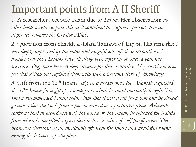#### Important points from A H Sheriff

1. A researcher accepted Islam due to *Sahīfa*. Her observation: *no other book would surpass this as it contained the supreme possible human approach towards the Creator Allah.*

2*.* Quotation from Shaykh al-Islam Tantawi of Egypt. His remarks: *I*  was deeply impressed by the value and magnificence of these invocations. I *wonder how the Muslims have all along been ignorant of such a valuable treasure. They have been in deep slumber for these centuries. They could not even feel that Allah has supplied them with such a precious store of knowledge.* 

3. Gift from the 12th Imam (af): *In a dream once, the Allāmah requested the 12th Imam for a gift of a book from which he could constantly benefit. The Imam recommended Sahīfa telling him that it was a gift from him and he should go and collect the book from a person named at a particular place. Allāmah confirms that in accordance with the advice of the Imam, he collected the Sahīfa from which he benefited a great deal in his exercises of self-purification. The*  book was cherished as an invaluable gift from the Imam and circulated round *among the believers of the place.* 

ALI 368: Explanation of Dua1 from ALI 368: Explanation of Dua1 from<br>the Sahifa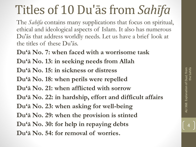# Titles of 10 Du'ās from *Sahīfa*

The *Sahīfa* contains many supplications that focus on spiritual, ethical and ideological aspects of Islam. It also has numerous Du'ās that address worldly needs. Let us have a brief look at the titles of these Du'ās.

**Du'ā No. 7: when faced with a worrisome task Du'ā No. 13: in seeking needs from Allah**

**Du'ā No. 15: in sickness or distress**

**Du'ā No. 18: when perils were repelled**

**Du'ā No. 21: when afflicted with sorrow**

**Du'ā No. 22: in hardship, effort and difficult affairs**

**Du'ā No. 23: when asking for well-being**

**Du'ā No. 29: when the provision is stinted**

**Du'ā No. 30: for help in repaying debts**

**Du'ā No. 54: for removal of worries.**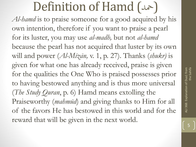#### Definition of Hamd (محد)

*Al-hamd* is to praise someone for a good acquired by his own intention, therefore if you want to praise a pearl for its luster, you may use *al-madh,* but not *al-hamd*  because the pearl has not acquired that luster by its own will and power (*Al-Mīzān,* v. 1, p. 27). Thanks (*shukr)* is given for what one has already received, praise is given for the qualities the One Who is praised possesses prior to having bestowed anything and is thus more universal (*The Study Quran*, p. 6) Hamd means extolling the Praiseworthy (*mahmūd*) and giving thanks to Him for all of the favors He has bestowed in this world and for the reward that will be given in the next world.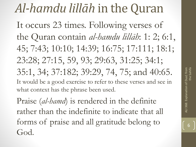# *Al-hamdu lillāh* in the Quran

It occurs 23 times. Following verses of the Quran contain *al-hamdu lillāh*: 1: 2; 6:1, 45; 7:43; 10:10; 14:39; 16:75; 17:111; 18:1; 23:28; 27:15, 59, 93; 29:63, 31:25; 34:1; 35:1, 34; 37:182; 39:29, 74, 75; and 40:65. It would be a good exercise to refer to these verses and see in what context has the phrase been used.

Praise (*al-hamd*) is rendered in the definite rather than the indefinite to indicate that all forms of praise and all gratitude belong to God.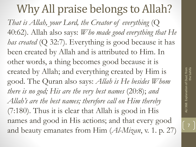#### Why All praise belongs to Allah?

*That is Allah, your Lord, the Creator of everything* (Q 40:62). Allah also says: *Who made good everything that He has created* (Q 32:7). Everything is good because it has been created by Allah and is attributed to Him. In other words, a thing becomes good because it is created by Allah; and everything created by Him is good. The Quran also says: *Allah is He besides Whom there is no god; His are the very best names* (20:8); *and Allah's are the best names; therefore call on Him thereby*  (7:180). Thus it is clear that Allah is good in His names and good in His actions; and that every good and beauty emanates from Him (*Al-Mizan*, v. 1. p. 27)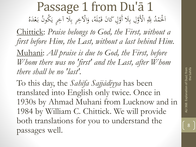Passage 1 from Du'ā 1 اَلْحَمْدُ لِلّهِ الْأَوَّلِ بِلَا أَوَّلٍ كَانَ قَبْلَهُ، وَالْآخِرِ بِلَا آخِرٍ يَكُونُ ح .<br>.<br>. ا ة<br>ق ِ<br>ب ا َ  $\overline{a}$ ِ<br>ب ا َ ُ لَه ب ح ُ بَعْدَهُ<br>بَعْدَهُ  $\overline{\phantom{a}}$ ب<br>. Chittick: *Praise belongs to God, the First, without a first before Him, the Last, without a last behind Him.* Muhani: *All praise is due to God, the First, before Whom there was no 'first' and the Last, after Whom there shall be no 'last'.*

To this day, the *Sahīfa Sajjādiyya* has been translated into English only twice. Once in 1930s by Ahmad Muhani from Lucknow and in 1984 by William C. Chittick. We will provide both translations for you to understand the passages well.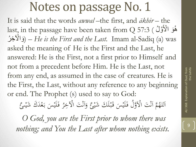It is said that the words *awwal* –the first, and *ākhir* – the last, in the passage have been taken from Q 57:3 ( لُ و أْلَ هَو ا نَدَ<br>ک و<br>گھ ر أْل ِخ ُ َوا ) – *He is the First and the Last.* Imam al-Sadiq (a) was asked the meaning of He is the First and the Last, he answered: He is the First, not a first prior to Himself and not from a precedent before Him. He is the Last, not from any end, as assumed in the case of creatures. He is the First, the Last, without any reference to any beginning or end. The Prophet (s) used to say to God:

ه م **e** للهُمَّ أَنْتَ الْأَوَّلُ فَلَيْسَ قَبْلُكَ شَيْئٌ وَأَنْتَ الْآخِرُ فَلَيْسَ بَعْدَ  $\frac{1}{2}$ ا  $\frac{1}{2}$ لَ ح <u>ة</u> ً<br>ا  $\frac{1}{2}$ ة<br>. ل<br>ا .<br>ن ن<br>ز  $\frac{1}{2}$ ا  $\overline{\phantom{a}}$ ب<br>. ً<br>ا  $\frac{1}{2}$ َ ر<br>ِ وَأَنْتَ الْآخِرُ .<br>ن ن<br>ز  $\frac{1}{2}$ ا َ ء<br>ا مع<br>گ ء<br>ا ىئ َك َشي  $\frac{1}{2}$ 

*O God, you are the First prior to whom there was nothing; and You the Last after whom nothing exists.*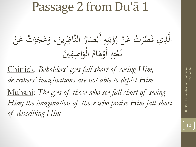#### Passage 2 from Du'ā 1

ب<br>. ه<br>بر ؤُبَّتِهِ أَ  $\overline{4}$  $\ddot{.}$ ند بر<br>تر ِن<br>ِ ياني ح<br>ح ال<br>ر ر ن ت ع ر ح **ک** ح ر<br>( ُ الَّذِي قَصُرَتْ عَنْ رُؤْيَتِهِ أَبْصَارُ النَّاظِرِينَ، وَعَجَ **اُن** ِ<br>ب  $\boldsymbol{\lambda}$ **ک** َ  $\ddot{\phantom{0}}$  $\overline{\phantom{a}}$  $\sum_{i=1}^{n}$ ُل<br>ہ صَارُ النَّاظِرِينَ، وَعَجَزَتْ عَنْ  $\overline{\phantom{a}}$ ح **ک** زن<br>ز ز الواصفين  $\ddot{\phantom{0}}$  $\ddot{a}$  $\ddot{\mathbf{z}}$  $\int$ َ <u>ل</u><br>ا ُ نَعْتِهِ أَوْهَامُ **a** ہ<br>ر  $\overline{4}$  $\ddot{.}$ **تبلا**ر<br>/ ح ز<br>ا

Chittick: *Beholders' eyes fall short of seeing Him, describers' imaginations are not able to depict Him.* Muhani: *The eyes of those who see fall short of seeing Him; the imagination of those who praise Him fall short of describing Him.*

ALI 368: Explanation of Dua1 from

ALI 368: Explanation

10

Dua1 from<br>the Sahifa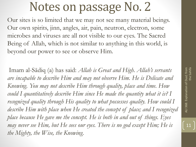Our sites is so limited that we may not see many material beings. Our own spirits, jinn, angles, air, pain, neutron, electron, some microbes and viruses are all not visible to our eyes. The Sacred Being of Allah, which is not similar to anything in this world, is beyond our power to see or observe Him.

Imam al-Sādiq (a) has said: *Allah is Great and High. Allah's servants are incapable to describe Him and may not observe Him. He is Delicate and Knowing. You may not describe Him through quality, place and time. How could I quantitatively describe Him since He made the quantity what it is? I recognized quality through His quality to what possesses quality. How could I describe Him with place when He created the concept of place; and I recognized place because He gave me the concept. He is both in and out of things. Eyes may never see Him, but He sees our eyes. There is no god except Him; He is the Mighty, the Wise, the Knowing.*

ALI 368: Explanation of Dua1 from ALI 368: Explanation of Dua1 from<br>the Sahifa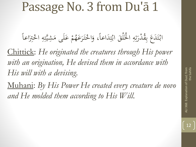#### Passage No. 3 from Du'ā 1

ابْتَدَعَ بِقُدْرَتِهِ الْخَلْقَ ابْتِدَاعاً، وَاخْتَرَعَهُمْ عَلَى مَشِيَّتِهِ  $\overline{\phantom{a}}$  $\overline{\phantom{a}}$  $\ddot{.}$ :<br>-<br>-<br>-ب:<br>. ِ<br>پ ح ز<br>ح ا  $\overline{4}$ .<br>ن تن<br>تر َ ِ<br>با ب<br>ب  $\bigg\{$  $\frac{1}{1}$  $\ddot{\lambda}$ ا<br>مان<br>1 ب<br>.  $\overline{4}$  $\ddot{.}$ **تبلا** يک<br>بد مْ عَلَى مَ  $\int$ ا<br>ا ح **€** وَاخْتَرَعَهُمْ عَلَى مَشِيَّتِهِ اخْتِرَاعاً **ک**  $\int$  $\ddot{\lambda}$ .<br>ح َ  $\overline{\phantom{a}}$  $\overline{)}$ .<br>ح

Chittick: *He originated the creatures through His power with an origination, He devised them in accordance with His will with a devising*.

Muhani: *By His Power He created every creature de novo and He molded them according to His Will*.

ALI 368: Explanation of Dua1 from ALI 368: Explanation of Dua1 from<br>the Sahifa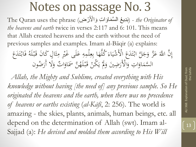The Quran uses the phrase (بَدِيعُ السَّمَاوَاتِ وَالْأَرْضِ) (The Quran uses the phrase ر<br>ح *the heavens and earth* twice in verses 2:117 and 6: 101. This means that Allah created heavens and the earth without the need of previous samples and examples. Imam al-Bāqir (a) explains:

إِنَّ اللَّهَ عَزَّ وَجَلَّ ابْتَدَعَ الْأَشْيَاءَ كُلَّهَا بِعِلْمِهِ عَلَى غَيْرِ مِثَالٍ كَانَ قَبْلَهُ فَابْتَدَعَ<br>وَالْمَسْنَةِ اللَّهُ عَنْ وَجَلَّ ابْتَدَعَ الْأَشْيَاءَ كُلَّهَا بِعِلْمِهِ عَلَى غَيْرِ مِثَالٍ كَا  $\zeta$  $\ddot{\ddot{\cdot}}$ نہ<br>م ا  $\bigg\{$ برید ب<br>. **ک**  $\epsilon$  $\int$  $\begin{bmatrix} 1 & 1 \\ 1 & 1 \end{bmatrix}$ بنی<br>م  $\tilde{\mathbf{r}}$  $\mathbf{A}$ الہ<br>ا ى<br>ك َ ح ِ<br>و ِ<br>ب َ  $\bigg\{$ ر :<br>م ب<br>. َ حَانَ قَبْلَهُ<br>ءَ ح <u>ة</u><br>م السَّمَاوَاتِ وَالْأَرَضِينَ وَلَمْ يَكُنْ قَبْلَهُنَّ سَمَاوَاتٌ وَلَا أَرَضُون ا ہ<br>ر  $\blacktriangle$ ح ة<br>ق ح يا<br>. ر<br>يد  $\hat{a}$ َ  $\overline{\phantom{a}}$ ا َ َ ا َ

*Allah, the Mighty and Sublime, created everything with His knowledge without having [the need of] any previous sample. So He originated the heavens and the earth, when there was no precedence of heavens or earths existing* (*al-Kāfī*, 2: 256). The world is amazing - the skies, plants, animals, human beings, etc. all depend on the determination of Allah (swt). Imam al-Sajjad (a): *He devised and molded them according to His Will*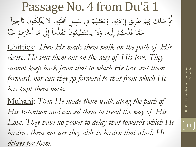#### Passage No. 4 from Du'ā 1 ثُمَّ سَلَكَ بِهِمْ طَرِيقَ إِرَادَتِهِ، وَبَعَثَ بنی<br>ر السم<br>السمار<br>السمار ب<br>. َ  $\overline{4}$ .<br>ن :<br>تار<br>1 َ ر<br>.  $\int$ إ :<br>.<br>. **م**<br>ا َك ِبََ  $\overline{\mathcal{X}}$ سَلَكَ بِهِمْ طَرِيقَ إِرَادَتِهِ، وَبَعَثَهُمْ فِي سَبِيلِ تَحَبَّتِهِ، لَا يَمْ  $\overline{a}$ ب<br>ا  $\overline{4}$  $\ddot{.}$ ت بک<br>بد ا<br>ا  $\ddot{\cdot}$ بد  $\overline{\phantom{0}}$ **م**<br>ا **e** مُمْ فِي سَبِيلِ مَحَبَّتِهِ، لَا يَمْلِكُونَ تَأْخِيراً  $\int$ ن<br>ٽ ن<br>ب  $\overline{\mathfrak{l}}$

 $\frac{1}{2}$ ن<br>ٽ ونَ تَ ن<br>ب ال<br>ا يْ َطَ  $\frac{1}{2}$ ا<br>ا مْ إِلَيْهِ، وَلَا يَسْ ِ<br>بہ ہ<br>ر  $\overline{4}$  $\frac{1}{2}$ ه<br>ي <u>ل</u><br>. ل .<br>ءِ إ **م**<br>ا **€** عَمَّا قَدَّمَهُ  $\mathcal{A}$ ة<br>ق ُ ه ع م ح ه<br>.<br>. **ک** ح **گ**ر قَدَّماً إِلَى مَا أَخَّرَهُ ر<br>(  $\lambda$  $\overline{\phantom{a}}$  $\int$ إ  $\overline{\phantom{a}}$  $\ddot{\varepsilon}$ 

Chittick: *Then He made them walk on the path of His desire, He sent them out on the way of His love. They cannot keep back from that to which He has sent them forward, nor can they go forward to that from which He has kept them back.*

Muhani: *Then He made them walk along the path of His Intention and caused them to tread the way of His Love. They have no power to delay that towards which He hastens them nor are they able to hasten that which He delays for them.*

 $\boxed{14}$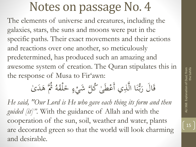The elements of universe and creatures, including the galaxies, stars, the suns and moons were put in the specific paths. Their exact movements and their actions and reactions over one another, so meticulously predetermined, has produced such an amazing and awesome system of creation. The Quran stipulates this in the response of Musa to Fir'awn:

> قَالَ رَبُّنَا الَّذِي أَعْطَىٰ كُلَّ شَيْءٍ خَلْقَهُ ثُمَّ هَدَىٰ ا<br>ا <u>ة</u>  $\dot{\phantom{1}}$  $\zeta$ ح ا<br>ا ِ<br>ب  $\frac{1}{2}$ ر<br>ند ر<br>(  $\overline{\phantom{a}}$ ام<br>ا ه لق .<br>م  $\overline{\mathcal{X}}$

*He said, "Our Lord is He who gave each thing its form and then guided [it]".* With the guidance of Allah and with the cooperation of the sun, soil, weather and water, plants are decorated green so that the world will look charming and desirable.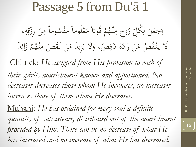# Passage 5 from Du'ā 1

ح ه قُوتاً مَعْ<br>م  $\mathbf{A}$ **م**<br>ا **€** وح مِنْهُجْ ح  $\mathbf{A}$  $\overline{\phantom{a}}$ ر<br>ا و<br>لر ا<br>|<br>|  $\overline{\phantom{a}}$ وَجَعَلَ لِكَلّ رُوحٍ مِنْهُمْ قُوتاً مَعْلُوماً مَقْسُوماً مِنْ رِزْقِهِ <u>ل</u> ل  $\overline{\phantom{0}}$  $\boldsymbol{\mathcal{S}}$ َ  $\overline{4}$ <u>: ما</u> ز  $\overline{ }$ ح  $\mathbf{A}$  $\overline{\mathcal{L}}$ </sub><br>ا لُوماً مَقْسُوماً مِنْ رِزْقِهِ، م<br>ح  $\mathbf{A}$  $\overline{\mathcal{L}}$ یز<br>.. صٌ، وَلَا يَه َ  $\overline{a}$  $\frac{1}{2}$ ق َن <u>َ</u><br>پا ُ صُّ مَنْ زَادَهُ ا<br>ا ز ح  $\mathbf{A}$ لَا يَنْقُصُ مَنْ زَادَهُ نَاقِصٌ، وَلَا يَزِيدُ مَنْ نَقَصَ مِنْهُمْ زَا يا<br>. .<br>(  $\mathbf{C}$ **€** مَنْ نَقَصَ مِنْهُ ا<br>م  $\mathbf{A}$ ً<br>ا **م**<br>م ح  $\blacktriangle$ اب<br>ا زِيدُ مَنْ نَقَصَ مِنْهُمْ زَائِدٌ  $\frac{1}{2}$ گ<br>گ

Chittick: *He assigned from His provision to each of their spirits nourishment known and apportioned. No decreaser decreases those whom He increases, no increaser increases those of them whom He decreases.*

Muhani: *He has ordained for every soul a definite quantity of subsistence, distributed out of the nourishment provided by Him. There can be no decrease of what He has increased and no increase of what He has decreased.*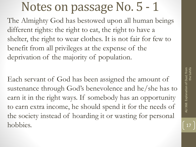The Almighty God has bestowed upon all human beings different rights: the right to eat, the right to have a shelter, the right to wear clothes. It is not fair for few to benefit from all privileges at the expense of the deprivation of the majority of population.

Each servant of God has been assigned the amount of sustenance through God's benevolence and he/she has to earn it in the right ways. If somebody has an opportunity to earn extra income, he should spend it for the needs of the society instead of hoarding it or wasting for personal hobbies.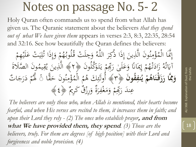Holy Quran often commands us to spend from what Allah has given us. The Quranic statement about the believers *that they spend out of what We have given them* appears in verses 2:3, 8:3, 22:35, 28:54 and 32:16. See how beautifully the Quran defines the believers:

إِنَّمَا الْمُؤْمِنُونَ الَّذِينَ إِذَا ذُكِرَ اللَّهُ وَجِ إ ہ<br>ءِ ے<br>۔ ة مِنُونَ الَّذِينَ إِذَا ذُكِرَ اللَّهُ ر<br>( ار<br>ا  $\int$ إ  $\ddot{\phantom{0}}$ ن<br>ب بر<br>م  $\mathbf{A}$ م<br>ح  $\lambda$ الْمُؤْمِنُونَ الَّذِينَ إِذَا ذَكِرَ اللَّهُ وَجِلَتْ قُلُوبُهُمْ وَإِذَا تُلِيَتْ عَـ ح **ک** ِ<br>يَبْ<br>.  $\frac{1}{2}$  $\overline{\mathbf{r}}$ ه وَإِذَا ثُلِ<br>» ار<br>ا  $\int$ إ ہ<br>ر **م**<br>با **€** ه<br>لم ب<br>. لَتْ قُلُوبُهُمْ وَإِذَا تُلِيَتْ عَلَيْهِمْ ح  $\overline{\mathcal{X}}$ ا<br>م<br>م  $\frac{1}{2}$ ه<br>به  $\frac{1}{2}$  $\ddot{\lambda}$ مْ إِيمَانًا وَعَلَىٰ رَبِّهِمْ يَتَمْ<br>مُسْتَمِّذٍ یا<br>بر  $\sum_{i=1}^n$  $\overline{\mathbf{r}}$ ر<br>1 ا<br>ا  $\int$ **ک** ەر<br>بر .<br>نا  $\overline{\phantom{a}}$  $\int$ إ ح **€** زَادَتَّـهُم م<br>ت  $\overline{\phantom{a}}$ ز<br>。 ام<br>ا آيَاتُهُ زَادَتْهُمْ إِيمَانًا وَعَلَىٰ رَبِّهِمْ يَتَوَكَّلُونَ ﴿٢﴾ الَّذِينَ يُقِيمُونَ الصَّلَاةَ<br>ء بر<br>ت ِياءِ<br>ت ن<br>ب و<br>د  $\ddot{\circ}$ ن<br>ب **△** يم ق  $\frac{1}{2}$ یا<br>۔ و<br>يو  $\ddot{\phantom{0}}$ ين ذَ ه ﴾ ال **ن قو ُ نف َ م ياء**<br>ا **ي ْ م ُ** وَمِّمَّا رَزَقْنَاهُمْ يُنفِقُونَ ﴿٣﴾ أَوَلَئِكَ هُمْ الْمُؤْمِنُونَ حَقَّ **َ َ َ م َ**  $\overline{\phantom{0}}$ ن<br>ب و<br>م  $\mathbf{A}$ م<br>ح<br>. **△** م ال ح  $\bigcap_{\alpha}$ م ُ َك ه ٰئ ت ِ<br>م ﴾ أُولَٰٓئِكَ هُمُ الْمُؤْمِنُونَ حَقًّا ۚ ۚ فَمُمْ دَرَجَاتٌ<br>وَمَعْرَضُ وَمُمْرَدٍ وَمَثَلَّمَ الْمُؤْمِنُونَ حَقًّا ۚ فَمَمْ دَرَجَاتٌ َ  $\overline{\phantom{a}}$ **م** اب<br>ا َّل ه ۚ عِندَ رَبِّهِمْ وَمَغْفِرَةٌ وَرِزْقٌ كَرِيمٌ ﴿ \$ مَجْهِ َ ر<br>( <u>َ</u> .<br>ح  $\mathcal{A}$ َ  $\mathbf{C}$ ِ<br>م  $\overline{\phantom{a}}$  $\overline{\phantom{a}}$ 

*The believers are only those who, when Allah is mentioned, their hearts become fearful, and when His verses are recited to them, it increases them in faith; and upon their Lord they rely - (2) The ones who establish prayer***, and from what We have provided them, they spend***. (3) Those are the believers, truly. For them are degrees [of high position] with their Lord and forgiveness and noble provision. (4)*